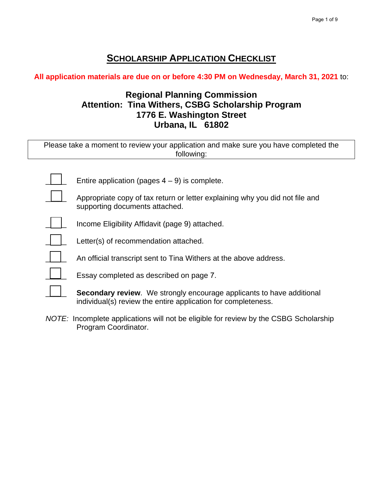# **SCHOLARSHIP APPLICATION CHECKLIST**

**All application materials are due on or before 4:30 PM on Wednesday, March 31, 2021** to:

## **Regional Planning Commission Attention: Tina Withers, CSBG Scholarship Program 1776 E. Washington Street Urbana, IL 61802**

| Please take a moment to review your application and make sure you have completed the |
|--------------------------------------------------------------------------------------|
| following:                                                                           |

Entire application (pages  $4 - 9$ ) is complete.

 $\Box$  Appropriate copy of tax return or letter explaining why you did not file and supporting documents attached.

Income Eligibility Affidavit (page 9) attached.



Letter(s) of recommendation attached.

An official transcript sent to Tina Withers at the above address.

Essay completed as described on page 7.

**Secondary review**. We strongly encourage applicants to have additional individual(s) review the entire application for completeness.

*NOTE:* Incomplete applications will not be eligible for review by the CSBG Scholarship Program Coordinator.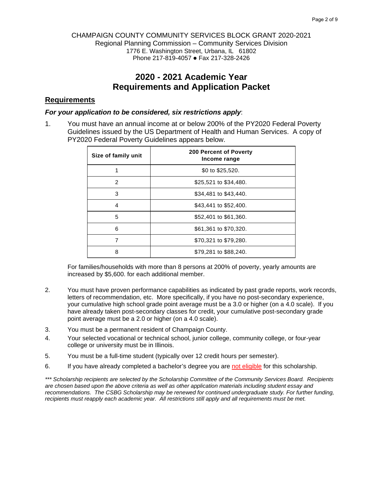#### CHAMPAIGN COUNTY COMMUNITY SERVICES BLOCK GRANT 2020-2021 Regional Planning Commission – Community Services Division 1776 E. Washington Street, Urbana, IL 61802 Phone 217-819-4057 • Fax 217-328-2426

## **2020 - 2021 Academic Year Requirements and Application Packet**

### **Requirements**

#### *For your application to be considered, six restrictions apply*:

1. You must have an annual income at or below 200% of the PY2020 Federal Poverty Guidelines issued by the US Department of Health and Human Services. A copy of PY2020 Federal Poverty Guidelines appears below.

| Size of family unit | <b>200 Percent of Poverty</b><br>Income range |
|---------------------|-----------------------------------------------|
|                     | \$0 to \$25,520.                              |
| 2                   | \$25,521 to \$34,480.                         |
| 3                   | \$34,481 to \$43,440.                         |
| 4                   | \$43,441 to \$52,400.                         |
| 5                   | \$52,401 to \$61,360.                         |
| 6                   | \$61,361 to \$70,320.                         |
|                     | \$70,321 to \$79,280.                         |
| 8                   | \$79,281 to \$88,240.                         |

For families/households with more than 8 persons at 200% of poverty, yearly amounts are increased by \$5,600. for each additional member.

- 2. You must have proven performance capabilities as indicated by past grade reports, work records, letters of recommendation, etc. More specifically, if you have no post-secondary experience, your cumulative high school grade point average must be a 3.0 or higher (on a 4.0 scale). If you have already taken post-secondary classes for credit, your cumulative post-secondary grade point average must be a 2.0 or higher (on a 4.0 scale).
- 3. You must be a permanent resident of Champaign County.
- 4. Your selected vocational or technical school, junior college, community college, or four-year college or university must be in Illinois.
- 5. You must be a full-time student (typically over 12 credit hours per semester).
- 6. If you have already completed a bachelor's degree you are not eligible for this scholarship.

*\*\*\* Scholarship recipients are selected by the Scholarship Committee of the Community Services Board. Recipients are chosen based upon the above criteria as well as other application materials including student essay and recommendations. The CSBG Scholarship may be renewed for continued undergraduate study. For further funding, recipients must reapply each academic year. All restrictions still apply and all requirements must be met.*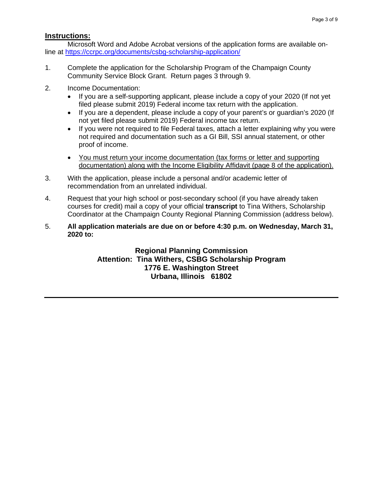### **Instructions:**

Microsoft Word and Adobe Acrobat versions of the application forms are available online at<https://ccrpc.org/documents/csbg-scholarship-application/>

- 1. Complete the application for the Scholarship Program of the Champaign County Community Service Block Grant. Return pages 3 through 9.
- 2. Income Documentation:
	- If you are a self-supporting applicant, please include a copy of your 2020 (If not yet filed please submit 2019) Federal income tax return with the application.
	- If you are a dependent, please include a copy of your parent's or guardian's 2020 (If not yet filed please submit 2019) Federal income tax return.
	- If you were not required to file Federal taxes, attach a letter explaining why you were not required and documentation such as a GI Bill, SSI annual statement, or other proof of income.
	- You must return your income documentation (tax forms or letter and supporting documentation) along with the Income Eligibility Affidavit (page 8 of the application).
- 3. With the application, please include a personal and/or academic letter of recommendation from an unrelated individual.
- 4. Request that your high school or post-secondary school (if you have already taken courses for credit) mail a copy of your official **transcript** to Tina Withers, Scholarship Coordinator at the Champaign County Regional Planning Commission (address below).
- 5. **All application materials are due on or before 4:30 p.m. on Wednesday, March 31, 2020 to:**

**Regional Planning Commission Attention: Tina Withers, CSBG Scholarship Program 1776 E. Washington Street Urbana, Illinois 61802**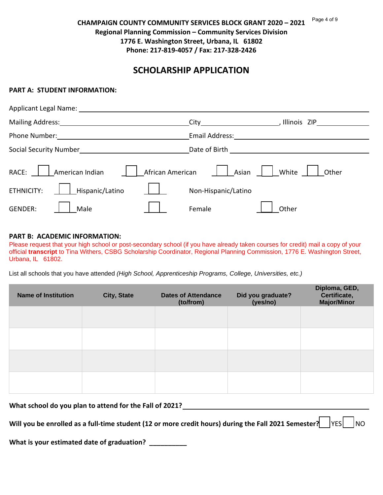#### **CHAMPAIGN COUNTY COMMUNITY SERVICES BLOCK GRANT 2020 – 2021 Regional Planning Commission – Community Services Division 1776 E. Washington Street, Urbana, IL 61802 Phone: 217-819-4057 / Fax: 217-328-2426** Page 4 of 9

## **SCHOLARSHIP APPLICATION**

#### **PART A: STUDENT INFORMATION:**

| Applicant Legal Name: ______                                                                                                                                                                                                        |                                                                                                                                                                                                                                                     |  |  |  |  |
|-------------------------------------------------------------------------------------------------------------------------------------------------------------------------------------------------------------------------------------|-----------------------------------------------------------------------------------------------------------------------------------------------------------------------------------------------------------------------------------------------------|--|--|--|--|
| Mailing Address:<br>Mailing Address:                                                                                                                                                                                                | Illinois ZIP<br>City <b>City</b> and the control of the control of the control of the control of the control of the control of the control of the control of the control of the control of the control of the control of the control of the control |  |  |  |  |
| <b>Phone Number:</b> The Contract of the Contract of the Contract of the Contract of the Contract of the Contract of the Contract of the Contract of the Contract of the Contract of the Contract of the Contract of the Contract o | Email Address:                                                                                                                                                                                                                                      |  |  |  |  |
| Social Security Number<br>Social Security Number<br>Social Security Number                                                                                                                                                          | Date of Birth <b>Exercise 2018</b>                                                                                                                                                                                                                  |  |  |  |  |
| African American<br>American Indian<br>RACE:                                                                                                                                                                                        | White<br>Asian<br>Other                                                                                                                                                                                                                             |  |  |  |  |
| Hispanic/Latino<br>ETHNICITY:                                                                                                                                                                                                       | Non-Hispanic/Latino                                                                                                                                                                                                                                 |  |  |  |  |
| <b>GENDER:</b><br>Male                                                                                                                                                                                                              | Female<br>Other                                                                                                                                                                                                                                     |  |  |  |  |

#### **PART B: ACADEMIC INFORMATION:**

Please request that your high school or post-secondary school (if you have already taken courses for credit) mail a copy of your official **transcript** to Tina Withers, CSBG Scholarship Coordinator, Regional Planning Commission, 1776 E. Washington Street, Urbana, IL 61802.

List all schools that you have attended *(High School, Apprenticeship Programs, College, Universities, etc.)*

| <b>Name of Institution</b> | <b>City, State</b> | <b>Dates of Attendance</b><br>(to/from) | Did you graduate?<br>(yes/no) | Diploma, GED,<br>Certificate,<br><b>Major/Minor</b> |
|----------------------------|--------------------|-----------------------------------------|-------------------------------|-----------------------------------------------------|
|                            |                    |                                         |                               |                                                     |
|                            |                    |                                         |                               |                                                     |
|                            |                    |                                         |                               |                                                     |
|                            |                    |                                         |                               |                                                     |

**What school do you plan to attend for the Fall of 2021?** 

**Will you be enrolled as a full-time student (12 or more credit hours) during the Fall 2021 Semester?**  $\vert$  YES  $\vert$  NO

**What is your estimated date of graduation? \_\_\_\_\_\_\_\_\_\_**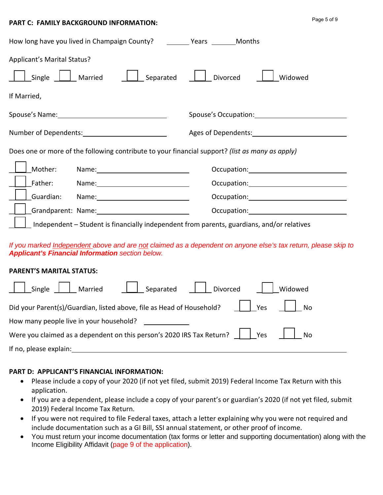#### **PART C: FAMILY BACKGROUND INFORMATION:**

| Page 5 of 9 |  |
|-------------|--|
|-------------|--|

| How long have you lived in Champaign County? _________ Years ________ Months                                                                                                                                                              |                                                                                                                                                                                                                                |
|-------------------------------------------------------------------------------------------------------------------------------------------------------------------------------------------------------------------------------------------|--------------------------------------------------------------------------------------------------------------------------------------------------------------------------------------------------------------------------------|
| Applicant's Marital Status?                                                                                                                                                                                                               |                                                                                                                                                                                                                                |
| Single     Married<br>Separated                                                                                                                                                                                                           | Divorced<br>Widowed                                                                                                                                                                                                            |
| If Married,                                                                                                                                                                                                                               |                                                                                                                                                                                                                                |
|                                                                                                                                                                                                                                           |                                                                                                                                                                                                                                |
|                                                                                                                                                                                                                                           |                                                                                                                                                                                                                                |
| Does one or more of the following contribute to your financial support? (list as many as apply)                                                                                                                                           |                                                                                                                                                                                                                                |
| Mother:                                                                                                                                                                                                                                   | Occupation: District Processors Control Control Control Control Control Control Control Control Control Control Control Control Control Control Control Control Control Control Control Control Control Control Control Contro |
| Name: Name and the state of the state of the state of the state of the state of the state of the state of the state of the state of the state of the state of the state of the state of the state of the state of the state of<br>Father: |                                                                                                                                                                                                                                |
| Guardian:                                                                                                                                                                                                                                 | Occupation: Decree Contract Contract Contract Contract Contract Contract Contract Contract Contract Contract Co                                                                                                                |
| Grandparent: Name:                                                                                                                                                                                                                        |                                                                                                                                                                                                                                |
| $\Box$ Independent – Student is financially independent from parents, guardians, and/or relatives                                                                                                                                         |                                                                                                                                                                                                                                |
| If you are about the dependent of our and one and other and one of dependent on opposite to be definite and and a below a different                                                                                                       |                                                                                                                                                                                                                                |

*If you marked Independent above and are not claimed as a dependent on anyone else's tax return, please skip to Applicant's Financial Information section below.*

## **PARENT'S MARITAL STATUS:**

| Single    Married    Separated    Divorced<br>Widowed                                           |
|-------------------------------------------------------------------------------------------------|
| Yes     No<br>Did your Parent(s)/Guardian, listed above, file as Head of Household?             |
| How many people live in your household?                                                         |
| Were you claimed as a dependent on this person's 2020 IRS Tax Return? $\ \cdot\ $ Yes<br>    No |
| If no, please explain:                                                                          |

## **PART D: APPLICANT'S FINANCIAL INFORMATION:**

- Please include a copy of your 2020 (if not yet filed, submit 2019) Federal Income Tax Return with this application.
- If you are a dependent, please include a copy of your parent's or guardian's 2020 (if not yet filed, submit 2019) Federal Income Tax Return.
- If you were not required to file Federal taxes, attach a letter explaining why you were not required and include documentation such as a GI Bill, SSI annual statement, or other proof of income.
- You must return your income documentation (tax forms or letter and supporting documentation) along with the Income Eligibility Affidavit (page 9 of the application).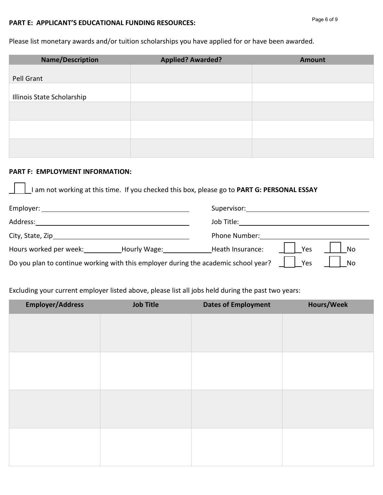#### **PART E: APPLICANT'S EDUCATIONAL FUNDING RESOURCES:**

Please list monetary awards and/or tuition scholarships you have applied for or have been awarded.

| <b>Name/Description</b>    | <b>Applied? Awarded?</b> | <b>Amount</b> |
|----------------------------|--------------------------|---------------|
|                            |                          |               |
| Pell Grant                 |                          |               |
|                            |                          |               |
| Illinois State Scholarship |                          |               |
|                            |                          |               |
|                            |                          |               |
|                            |                          |               |
|                            |                          |               |
|                            |                          |               |
|                            |                          |               |

### **PART F: EMPLOYMENT INFORMATION:**

I am not working at this time. If you checked this box, please go to **PART G: PERSONAL ESSAY**

| Employer:                                                                           |              | Supervisor:      |     |           |
|-------------------------------------------------------------------------------------|--------------|------------------|-----|-----------|
| Address:<br>Job Title:                                                              |              |                  |     |           |
| City, State, Zip                                                                    |              | Phone Number:    |     |           |
| Hours worked per week:                                                              | Hourly Wage: | Heath Insurance: | Yes | No        |
| Do you plan to continue working with this employer during the academic school year? |              |                  | Yes | <b>No</b> |

Excluding your current employer listed above, please list all jobs held during the past two years:

| <b>Employer/Address</b> | <b>Job Title</b> | <b>Dates of Employment</b> | <b>Hours/Week</b> |
|-------------------------|------------------|----------------------------|-------------------|
|                         |                  |                            |                   |
|                         |                  |                            |                   |
|                         |                  |                            |                   |
|                         |                  |                            |                   |
|                         |                  |                            |                   |
|                         |                  |                            |                   |
|                         |                  |                            |                   |
|                         |                  |                            |                   |
|                         |                  |                            |                   |
|                         |                  |                            |                   |
|                         |                  |                            |                   |
|                         |                  |                            |                   |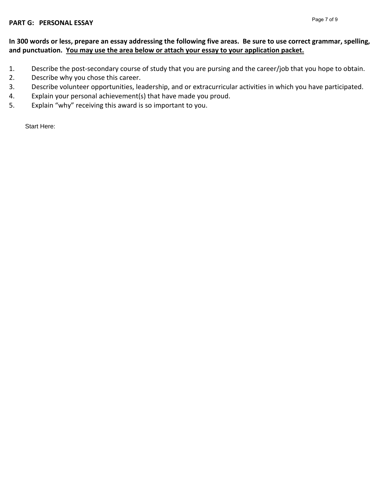## **In 300 words or less, prepare an essay addressing the following five areas. Be sure to use correct grammar, spelling, and punctuation. You may use the area below or attach your essay to your application packet.**

- 1. Describe the post-secondary course of study that you are pursing and the career/job that you hope to obtain.
- 2. Describe why you chose this career.
- 3. Describe volunteer opportunities, leadership, and or extracurricular activities in which you have participated.
- 4. Explain your personal achievement(s) that have made you proud.
- 5. Explain "why" receiving this award is so important to you.

Start Here: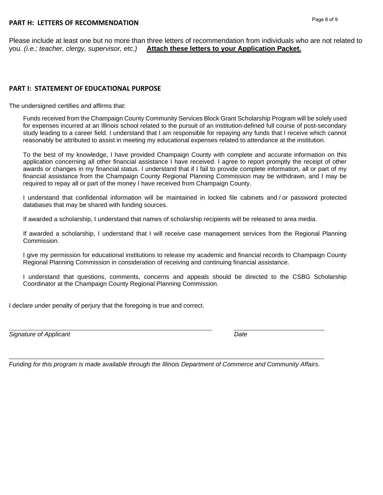Please include at least one but no more than three letters of recommendation from individuals who are not related to<br>you. (i.e.; teacher, clergy, supervisor, etc.) Attach these letters to your Application Packet. Attach these letters to your Application Packet.

#### **PART I: STATEMENT OF EDUCATIONAL PURPOSE**

The undersigned certifies and affirms that:

Funds received from the Champaign County Community Services Block Grant Scholarship Program will be solely used for expenses incurred at an Illinois school related to the pursuit of an institution-defined full course of post-secondary study leading to a career field. I understand that I am responsible for repaying any funds that I receive which cannot reasonably be attributed to assist in meeting my educational expenses related to attendance at the institution.

To the best of my knowledge, I have provided Champaign County with complete and accurate information on this application concerning all other financial assistance I have received. I agree to report promptly the receipt of other awards or changes in my financial status. I understand that if I fail to provide complete information, all or part of my financial assistance from the Champaign County Regional Planning Commission may be withdrawn, and I may be required to repay all or part of the money I have received from Champaign County.

I understand that confidential information will be maintained in locked file cabinets and / or password protected databases that may be shared with funding sources.

If awarded a scholarship, I understand that names of scholarship recipients will be released to area media.

If awarded a scholarship, I understand that I will receive case management services from the Regional Planning Commission.

I give my permission for educational institutions to release my academic and financial records to Champaign County Regional Planning Commission in consideration of receiving and continuing financial assistance.

I understand that questions, comments, concerns and appeals should be directed to the CSBG Scholarship Coordinator at the Champaign County Regional Planning Commission.

I declare under penalty of perjury that the foregoing is true and correct.

*Signature of Applicant Date*

*Funding for this program is made available through the Illinois Department of Commerce and Community Affairs.*